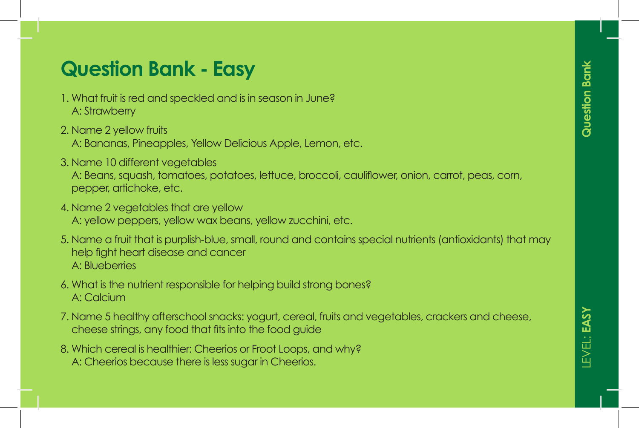- 1. What fruit is red and speckled and is in season in June? • Lorem ipsum dolor sit amet, consectetuer adipiscing A: Strawberry
- Lorem ipsum dolor sit amet, consectetuer adipiscing 2. Name 2 yellow fruits
- ervance yolow holds<br>At Rananas, Pinoannlos, Vollow Dolicious Annlo, Lom A: Bananas, Pineapples, Yellow Delicious Apple, Lemon, etc.
- 3. Name 10 different vegetables

A: Beans, squash, tomatoes, potatoes, lettuce, broccoli, cauliflower, onion, carrot, peas, corn, 1. Lorem in dolor sit ameter adipiscing and pepper, artichoke, etc.

- 4. Name 2 vegetables that are yellow A: yellow peppers, yellow wax beans, yellow zucchini, etc. 4. Lorem ipsum dolor sit amet, consectetuer adipiscing
- 5. Name a fruit that is purplish-blue, small, round and contains special nutrients (antioxidants) that may help fight heart disease and cancer adipiscing and cancer A: Blueberries
- 6. What is the nutrient responsible for helping build strong bones? Lorem ipsum dolor sit amet, consectetuer adipiscing. A: Calcium
- 7. Name 5 healthy afterschool snacks: yogurt, cereal, fruits and vegetables, crackers and cheese, cheese strings, any food that fits into the food guide
- 8. Which cereal is healthier: Cheerios or Froot Loops, and why? A: Cheerios because there is less sugar in Cheerios.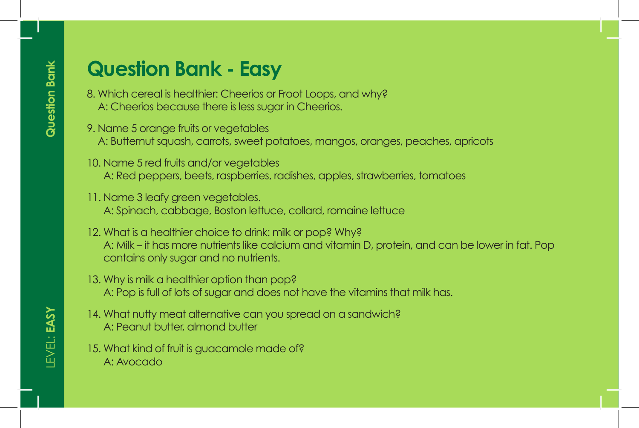- **MATERIALS & SPACE:** 8. Which cereal is healthier: Cheerios or Froot Loops, and why? **• Lorem A: Cheerios because there is less sugar in Cheerios.**
- **1** P. Name 5 orange fruits or vegetables **Extern in anche in animative and in the situation of the situation of the situation of the situation of the si** • Lorem ipsum dolor sit amet, consectetuer adipiscing
- **GAME:**  10. Name 5 red fruits and/or vegetables A: Red peppers, beets, raspberries, radishes, apples, strawberries, tomatoes
- **11. Name 3 leafy green vegetables.** 2. Lorem in substantial sit and sit and sit and sit and sit and sit and sit and sit and sit and sit and sit and sit and sit and site and site and site and site and site and site and site and site and site and site and site a: Spinach, cabbage, Boston lettuce, collard, romaine lettuce
- 12. What is a healthier choice to drink: milk or pop? Why? A: Milk – it has more nutrients like calcium and vitamin D, protein, and can be lower in fat. Pop **Example 1. Loren incontains only sugar and no nutrients.**
- **13. Why is milk a healthier option than pop?**  $\blacksquare$  A: Pop is full of lots of sugar and does not have the vitamins that milk has.
	- 14. What nutty meat alternative can you spread on a sandwich? A: Peanut butter, almond butter
	- 15. What kind of fruit is guacamole made of? A: Avocado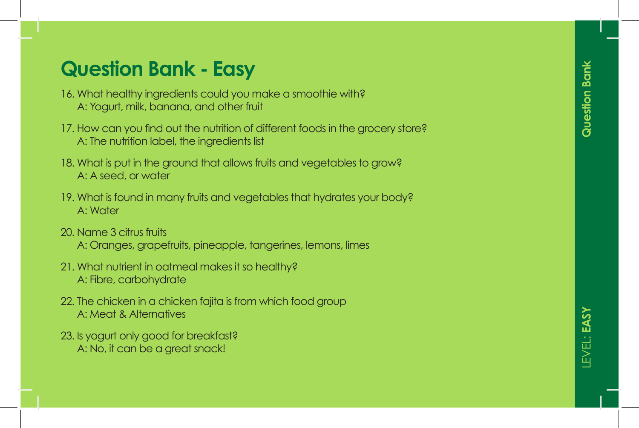- 16. What healthy ingredients could you make a smoothie with? A: Yogurt, milk, banana, and other fruit
- 17. How can you find out the nutrition of different foods in the grocery store? A: The nutrition label, the ingredients list
- 18. What is put in the ground that allows fruits and vegetables to grow? A: A seed, or water
- 19. What is found in many fruits and vegetables that hydrates your body? A: Water
- 20. Name 3 citrus fruits
	- A: Oranges, grapefruits, pineapple, tangerines, lemons, limes
- 21. What nutrient in oatmeal makes it so healthy? A: Fibre, carbohydrate
- 22. The chicken in a chicken fajita is from which food group A: Meat & Alternatives
- 23. Is yogurt only good for breakfast? A: No, it can be a great snack!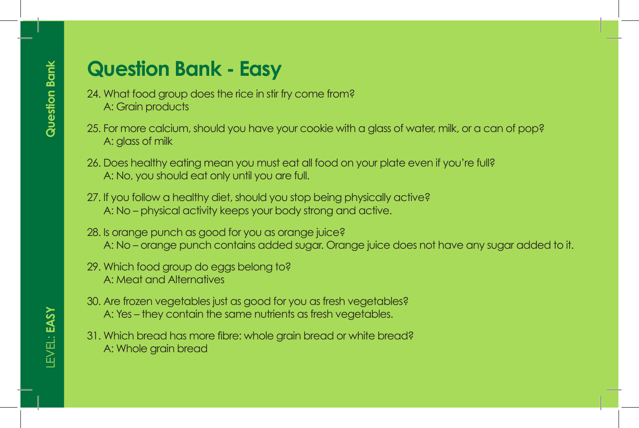- 24. What food group does the rice in stir fry come from? A: Grain products
- 25. For more calcium, should you have your cookie with a glass of water, milk, or a can of pop? A: glass of milk
- 26. Does healthy eating mean you must eat all food on your plate even if you're full? A: No, you should eat only until you are full.
- 27. If you follow a healthy diet, should you stop being physically active? A: No – physical activity keeps your body strong and active.
- 28. Is orange punch as good for you as orange juice? A: No – orange punch contains added sugar. Orange juice does not have any sugar added to it.
- 29. Which food group do eggs belong to? A: Meat and Alternatives
- 30. Are frozen vegetables just as good for you as fresh vegetables? A: Yes – they contain the same nutrients as fresh vegetables.
- 31. Which bread has more fibre: whole grain bread or white bread? A: Whole grain bread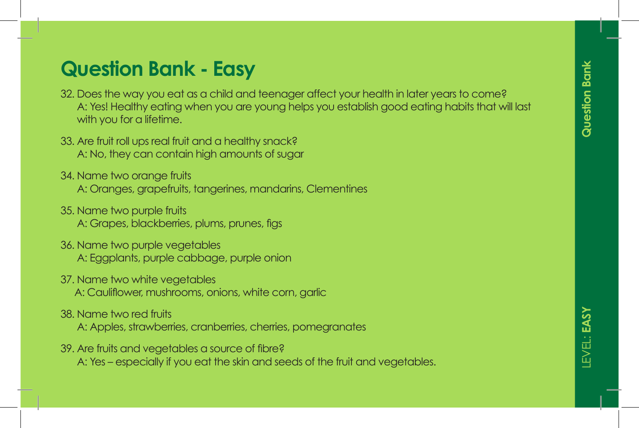- 32. Does the way you eat as a child and teenager affect your health in later years to come? A: Yes! Healthy eating when you are young helps you establish good eating habits that will last with you for a lifetime.
- 33. Are fruit roll ups real fruit and a healthy snack? A: No, they can contain high amounts of sugar
- 34. Name two orange fruits A: Oranges, grapefruits, tangerines, mandarins, Clementines
- 35. Name two purple fruits A: Grapes, blackberries, plums, prunes, figs
- 36. Name two purple vegetables A: Eggplants, purple cabbage, purple onion
- 37. Name two white vegetables A: Cauliflower, mushrooms, onions, white corn, garlic
- 38. Name two red fruits
	- A: Apples, strawberries, cranberries, cherries, pomegranates
- 39. Are fruits and vegetables a source of fibre?
	- A: Yes especially if you eat the skin and seeds of the fruit and vegetables.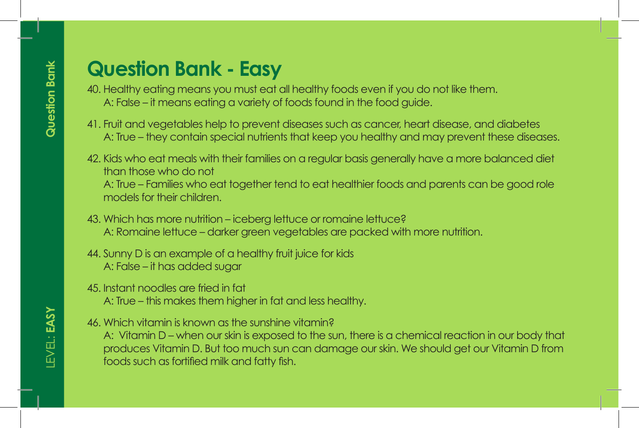- 40. Healthy eating means you must eat all healthy foods even if you do not like them. A: False – it means eating a variety of foods found in the food guide.
- 41. Fruit and vegetables help to prevent diseases such as cancer, heart disease, and diabetes A: True – they contain special nutrients that keep you healthy and may prevent these diseases.
- 42. Kids who eat meals with their families on a regular basis generally have a more balanced diet than those who do not A: True – Families who eat together tend to eat healthier foods and parents can be good role models for their children.
- 43. Which has more nutrition iceberg lettuce or romaine lettuce? A: Romaine lettuce – darker green vegetables are packed with more nutrition.
- 44. Sunny D is an example of a healthy fruit juice for kids A: False – it has added sugar
- 45. Instant noodles are fried in fat A: True – this makes them higher in fat and less healthy.
- 46. Which vitamin is known as the sunshine vitamin?

A: Vitamin D – when our skin is exposed to the sun, there is a chemical reaction in our body that produces Vitamin D. But too much sun can damage our skin. We should get our Vitamin D from foods such as fortified milk and fatty fish.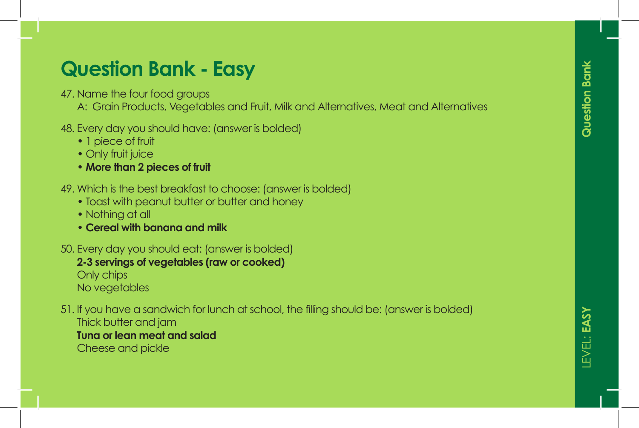# LEVEL: **EASY Question Bank**Question Bank

### **Question Bank - Easy**

- 47. Name the four food groups
	- A: Grain Products, Vegetables and Fruit, Milk and Alternatives, Meat and Alternatives
- 48. Every day you should have: (answer is bolded)
	- 1 piece of fruit
	- Only fruit juice
	- **More than 2 pieces of fruit**
- 49. Which is the best breakfast to choose: (answer is bolded)
	- Toast with peanut butter or butter and honey
	- Nothing at all
	- **Cereal with banana and milk**
- 50. Every day you should eat: (answer is bolded)

### **2-3 servings of vegetables (raw or cooked)** Only chips No vegetables

- 51. If you have a sandwich for lunch at school, the filling should be: (answer is bolded) Thick butter and jam **Tuna or lean meat and salad**
	- Cheese and pickle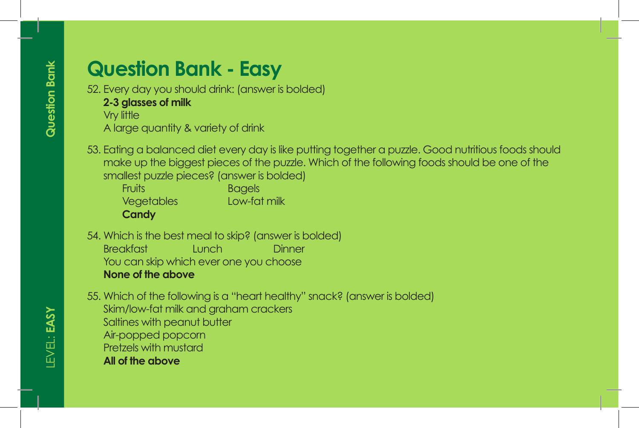- 52. Every day you should drink: (answer is bolded)
	- **2-3 glasses of milk**  Vry little A large quantity & variety of drink
- 53. Eating a balanced diet every day is like putting together a puzzle. Good nutritious foods should make up the biggest pieces of the puzzle. Which of the following foods should be one of the smallest puzzle pieces? (answer is bolded)
	- Fruits Bagels Vegetables Low-fat milk **Candy**
- 54. Which is the best meal to skip? (answer is bolded) Breakfast Lunch Dinner You can skip which ever one you choose **None of the above**
- 55. Which of the following is a "heart healthy" snack? (answer is bolded) Skim/low-fat milk and graham crackers Saltines with peanut butter Air-popped popcorn Pretzels with mustard **All of the above**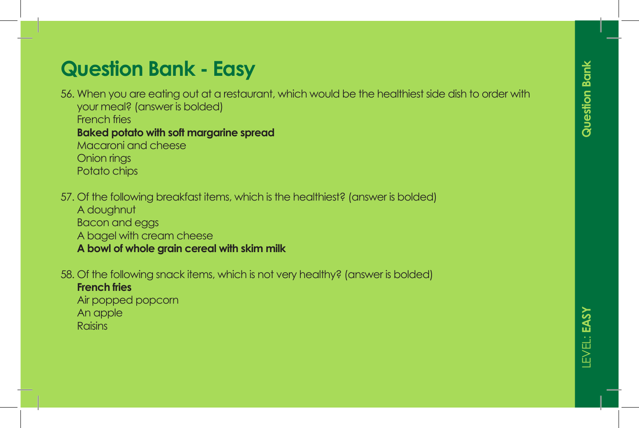56. When you are eating out at a restaurant, which would be the healthiest side dish to order with your meal? (answer is bolded) French fries **Baked potato with soft margarine spread** Macaroni and cheese Onion rings Potato chips

- 57. Of the following breakfast items, which is the healthiest? (answer is bolded)
	- A doughnut Bacon and eggs A bagel with cream cheese
		- **A bowl of whole grain cereal with skim milk**
- 58. Of the following snack items, which is not very healthy? (answer is bolded) **French fries** Air popped popcorn An apple **Raisins**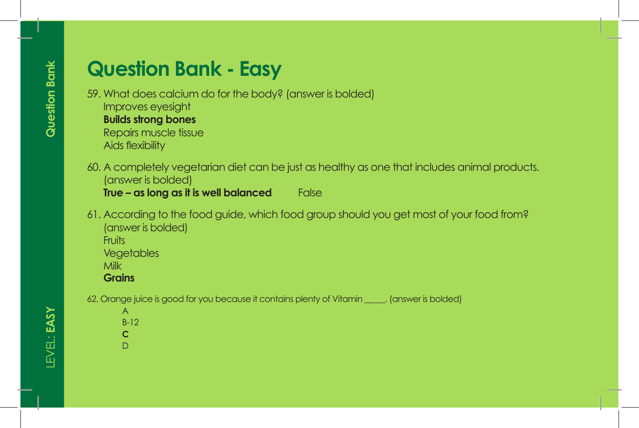59. What does calcium do for the body? (answer is bolded)

Improves eyesight **Builds strong bones** Repairs muscle tissue Aids flexibility

- 60. A completely vegetarian diet can be just as healthy as one that includes animal products. (answer is bolded) **True – as long as it is well balanced** False
- 61. According to the food guide, which food group should you get most of your food from? (answer is bolded) Fruits Vegetables

Milk **Grains**

- 62. Orange juice is good for you because it contains plenty of Vitamin \_\_\_\_\_. (answer is bolded)
	- A B-12 **C**

D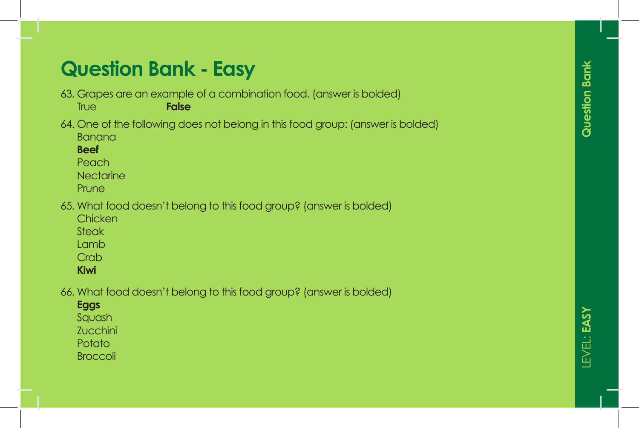- 63. Grapes are an example of a combination food. (answer is bolded) True **False**
- 64. One of the following does not belong in this food group: (answer is bolded) Banana

### **Beef**

Peach

**Nectarine** 

Prune

65. What food doesn't belong to this food group? (answer is bolded)

Chicken

**Steak** 

Lamb

**Crab** 

**Kiwi**

66. What food doesn't belong to this food group? (answer is bolded)

### **Eggs**

Squash

**Zucchini** 

**Potato** 

**Broccoli**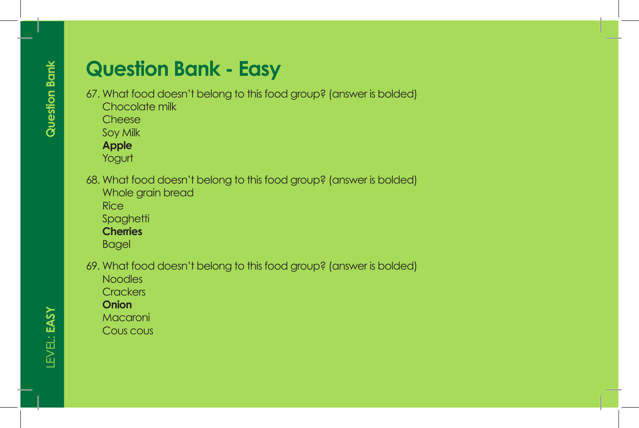- 67. What food doesn't belong to this food group? (answer is bolded)
	- Chocolate milk
	- Cheese
	- Soy Milk
	- **Apple**
	- Yogurt
- 68. What food doesn't belong to this food group? (answer is bolded) Whole grain bread
	- **Rice**
	- **Spaghetti**
	- **Cherries**
	- Bagel
- 69. What food doesn't belong to this food group? (answer is bolded)
	- **Noodles**
	- **Crackers**
	- **Onion**
	- **Macaroni**
	- Cous cous